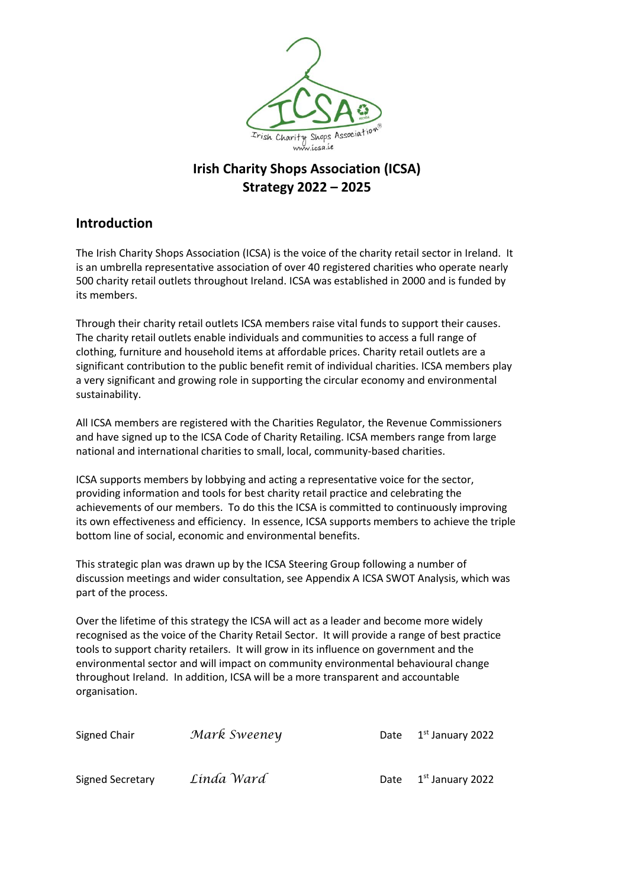

# **Irish Charity Shops Association (ICSA) Strategy 2022 – 2025**

### **Introduction**

The Irish Charity Shops Association (ICSA) is the voice of the charity retail sector in Ireland. It is an umbrella representative association of over 40 registered charities who operate nearly 500 charity retail outlets throughout Ireland. ICSA was established in 2000 and is funded by its members.

Through their charity retail outlets ICSA members raise vital funds to support their causes. The charity retail outlets enable individuals and communities to access a full range of clothing, furniture and household items at affordable prices. Charity retail outlets are a significant contribution to the public benefit remit of individual charities. ICSA members play a very significant and growing role in supporting the circular economy and environmental sustainability.

All ICSA members are registered with the Charities Regulator, the Revenue Commissioners and have signed up to the ICSA Code of Charity Retailing. ICSA members range from large national and international charities to small, local, community-based charities.

ICSA supports members by lobbying and acting a representative voice for the sector, providing information and tools for best charity retail practice and celebrating the achievements of our members. To do this the ICSA is committed to continuously improving its own effectiveness and efficiency. In essence, ICSA supports members to achieve the triple bottom line of social, economic and environmental benefits.

This strategic plan was drawn up by the ICSA Steering Group following a number of discussion meetings and wider consultation, see Appendix A ICSA SWOT Analysis, which was part of the process.

Over the lifetime of this strategy the ICSA will act as a leader and become more widely recognised as the voice of the Charity Retail Sector. It will provide a range of best practice tools to support charity retailers. It will grow in its influence on government and the environmental sector and will impact on community environmental behavioural change throughout Ireland. In addition, ICSA will be a more transparent and accountable organisation.

| Signed Chair     | Mark Sweeney |      | Date $1st$ January 2022      |
|------------------|--------------|------|------------------------------|
| Signed Secretary | Linda Ward   | Date | 1 <sup>st</sup> January 2022 |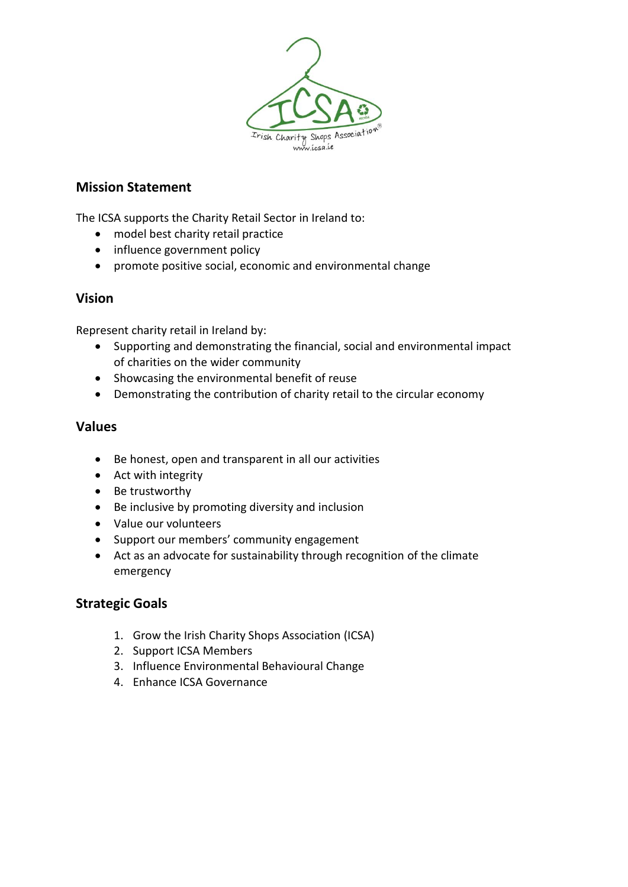

### **Mission Statement**

The ICSA supports the Charity Retail Sector in Ireland to:

- model best charity retail practice
- influence government policy
- promote positive social, economic and environmental change

### **Vision**

Represent charity retail in Ireland by:

- Supporting and demonstrating the financial, social and environmental impact of charities on the wider community
- Showcasing the environmental benefit of reuse
- Demonstrating the contribution of charity retail to the circular economy

#### **Values**

- Be honest, open and transparent in all our activities
- Act with integrity
- Be trustworthy
- Be inclusive by promoting diversity and inclusion
- Value our volunteers
- Support our members' community engagement
- Act as an advocate for sustainability through recognition of the climate emergency

### **Strategic Goals**

- 1. Grow the Irish Charity Shops Association (ICSA)
- 2. Support ICSA Members
- 3. Influence Environmental Behavioural Change
- 4. Enhance ICSA Governance